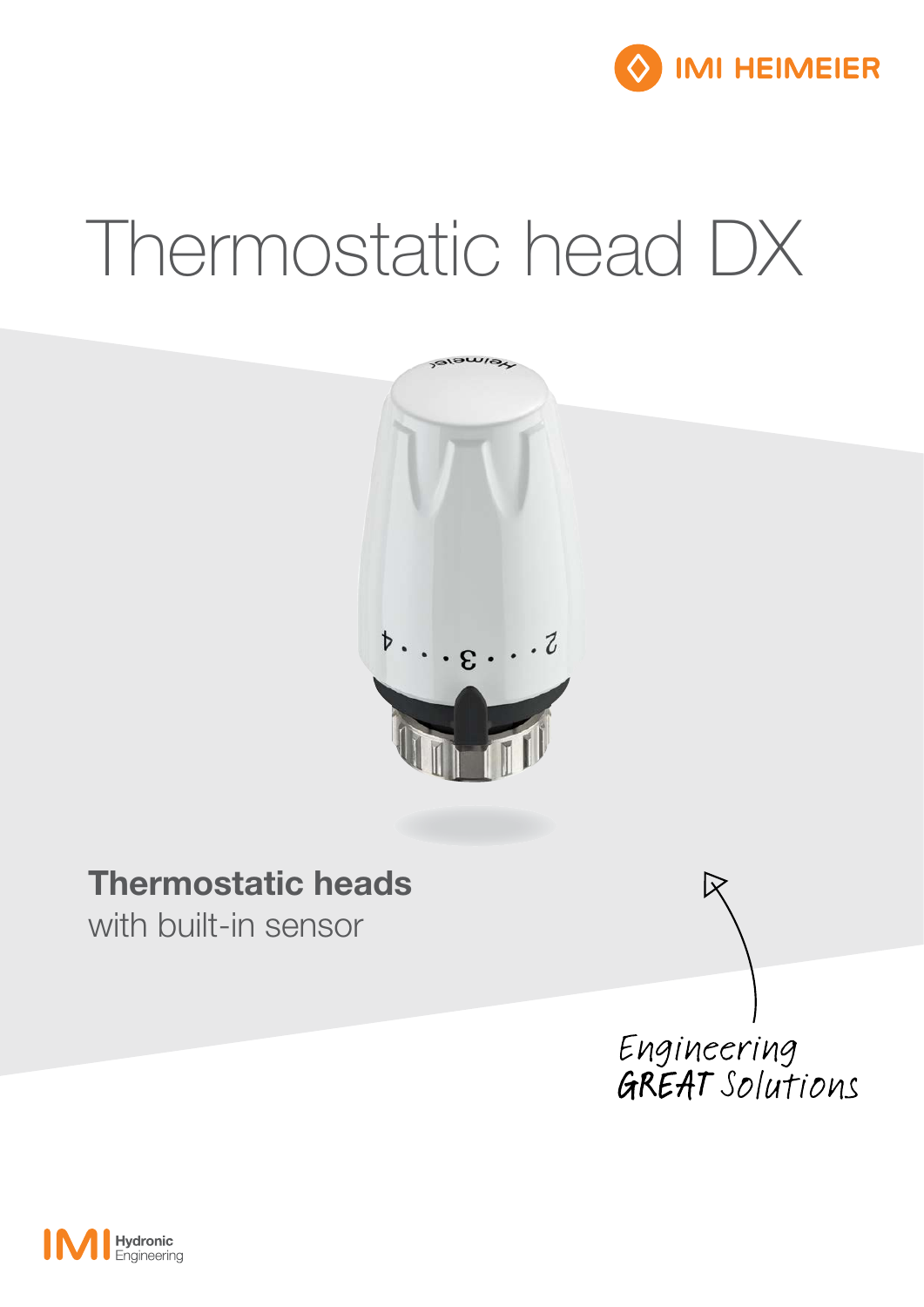

# Thermostatic head DX



### Thermostatic heads

with built-in sensor

Engineering<br>GREAT Solutions

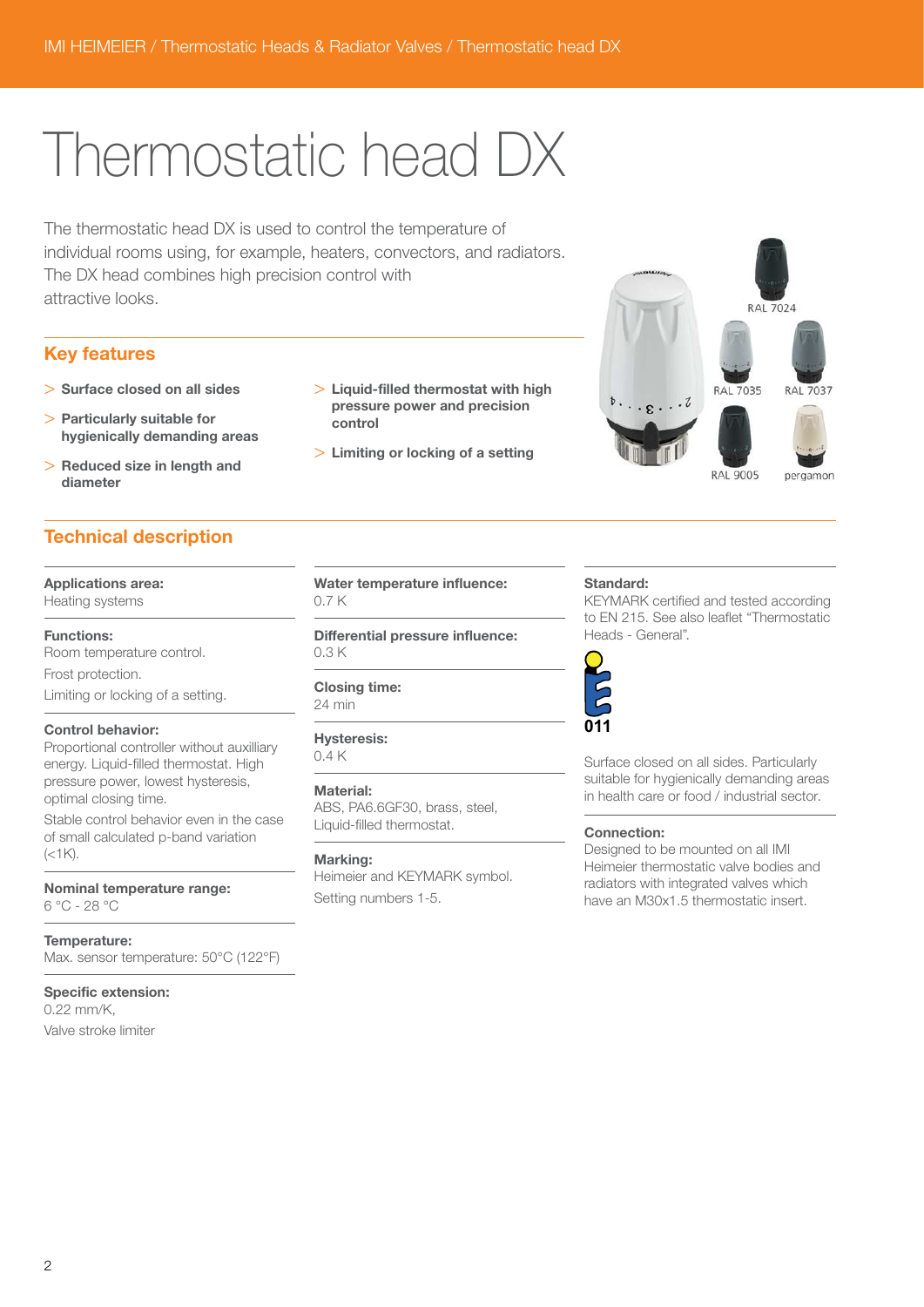## Thermostatic head DX

The thermostatic head DX is used to control the temperature of individual rooms using, for example, heaters, convectors, and radiators. The DX head combines high precision control with attractive looks.

#### Key features

- > Surface closed on all sides
- > Particularly suitable for hygienically demanding areas
- > Reduced size in length and diameter

#### Technical description

Applications area:

Heating systems

Functions:

Room temperature control. Frost protection.

Limiting or locking of a setting.

#### Control behavior:

Proportional controller without auxilliary energy. Liquid-filled thermostat. High pressure power, lowest hysteresis, optimal closing time.

Stable control behavior even in the case of small calculated p-band variation  $(<1K)$ .

Nominal temperature range: 6 °C - 28 °C

Temperature: Max. sensor temperature: 50°C (122°F)

#### Specific extension:

0.22 mm/K, Valve stroke limiter

- > Liquid-filled thermostat with high pressure power and precision control
- > Limiting or locking of a setting

Water temperature influence:

Differential pressure influence:

ABS, PA6.6GF30, brass, steel, Liquid-filled thermostat.

Heimeier and KEYMARK symbol.

Setting numbers 1-5.

0.7 K

0.3 K

Closing time: 24 min

Hysteresis: 0.4 K

Material:

Marking:



Standard:

KEYMARK certified and tested according to EN 215. See also leaflet "Thermostatic Heads - General".



Surface closed on all sides. Particularly suitable for hygienically demanding areas in health care or food / industrial sector.

#### Connection:

Designed to be mounted on all IMI Heimeier thermostatic valve bodies and radiators with integrated valves which have an M30x1.5 thermostatic insert.

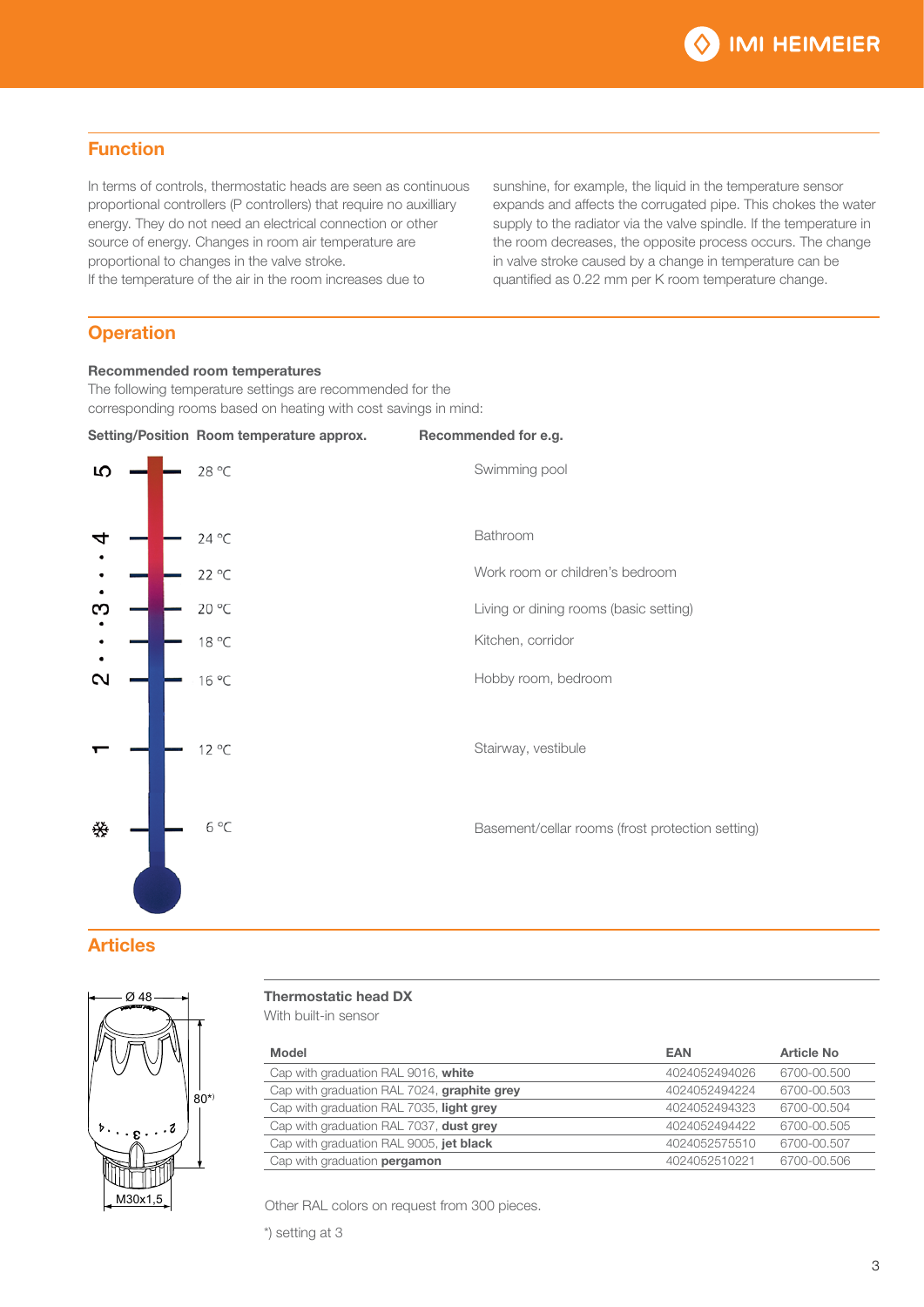#### Function

In terms of controls, thermostatic heads are seen as continuous proportional controllers (P controllers) that require no auxilliary energy. They do not need an electrical connection or other source of energy. Changes in room air temperature are proportional to changes in the valve stroke. If the temperature of the air in the room increases due to

sunshine, for example, the liquid in the temperature sensor expands and affects the corrugated pipe. This chokes the water supply to the radiator via the valve spindle. If the temperature in the room decreases, the opposite process occurs. The change in valve stroke caused by a change in temperature can be quantified as 0.22 mm per K room temperature change.

#### **Operation**

#### Recommended room temperatures

The following temperature settings are recommended for the corresponding rooms based on heating with cost savings in mind:



#### **Articles**



#### Thermostatic head DX

With built-in sensor

| Model                                       | <b>EAN</b>    | <b>Article No</b> |
|---------------------------------------------|---------------|-------------------|
| Cap with graduation RAL 9016, white         | 4024052494026 | 6700-00.500       |
| Cap with graduation RAL 7024, graphite grey | 4024052494224 | 6700-00.503       |
| Cap with graduation RAL 7035, light grey    | 4024052494323 | 6700-00.504       |
| Cap with graduation RAL 7037, dust grey     | 4024052494422 | 6700-00.505       |
| Cap with graduation RAL 9005, jet black     | 4024052575510 | 6700-00.507       |
| Cap with graduation pergamon                | 4024052510221 | 6700-00.506       |

Other RAL colors on request from 300 pieces.

\*) setting at 3